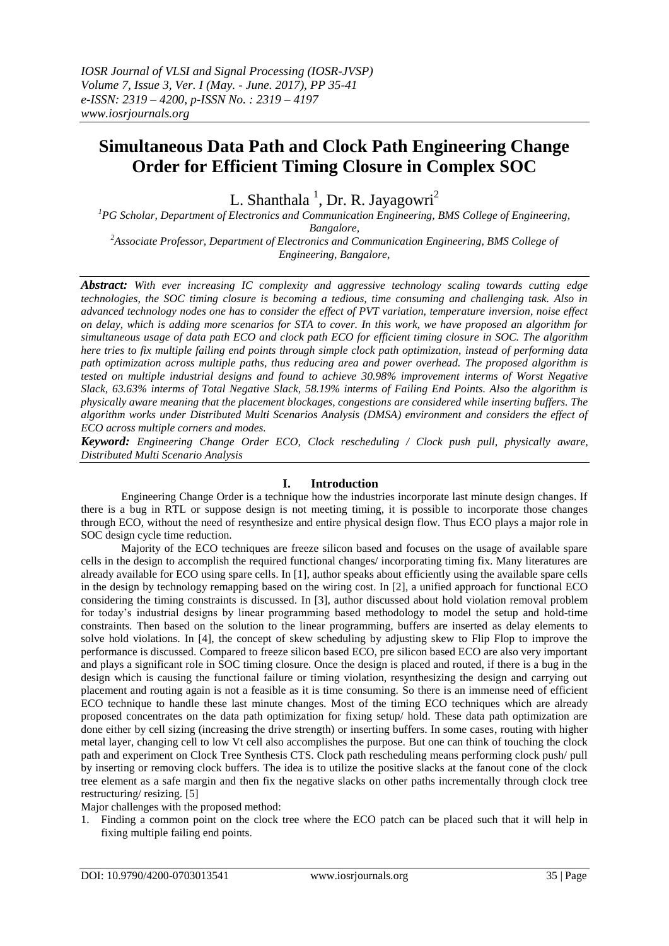# **Simultaneous Data Path and Clock Path Engineering Change Order for Efficient Timing Closure in Complex SOC**

L. Shanthala<sup>1</sup>, Dr. R. Jayagowri<sup>2</sup>

*<sup>1</sup>PG Scholar, Department of Electronics and Communication Engineering, BMS College of Engineering, Bangalore,*

*<sup>2</sup>Associate Professor, Department of Electronics and Communication Engineering, BMS College of Engineering, Bangalore,*

*Abstract: With ever increasing IC complexity and aggressive technology scaling towards cutting edge technologies, the SOC timing closure is becoming a tedious, time consuming and challenging task. Also in advanced technology nodes one has to consider the effect of PVT variation, temperature inversion, noise effect on delay, which is adding more scenarios for STA to cover. In this work, we have proposed an algorithm for simultaneous usage of data path ECO and clock path ECO for efficient timing closure in SOC. The algorithm here tries to fix multiple failing end points through simple clock path optimization, instead of performing data path optimization across multiple paths, thus reducing area and power overhead. The proposed algorithm is tested on multiple industrial designs and found to achieve 30.98% improvement interms of Worst Negative Slack, 63.63% interms of Total Negative Slack, 58.19% interms of Failing End Points. Also the algorithm is physically aware meaning that the placement blockages, congestions are considered while inserting buffers. The algorithm works under Distributed Multi Scenarios Analysis (DMSA) environment and considers the effect of ECO across multiple corners and modes.*

*Keyword: Engineering Change Order ECO, Clock rescheduling / Clock push pull, physically aware, Distributed Multi Scenario Analysis*

# **I. Introduction**

Engineering Change Order is a technique how the industries incorporate last minute design changes. If there is a bug in RTL or suppose design is not meeting timing, it is possible to incorporate those changes through ECO, without the need of resynthesize and entire physical design flow. Thus ECO plays a major role in SOC design cycle time reduction.

Majority of the ECO techniques are freeze silicon based and focuses on the usage of available spare cells in the design to accomplish the required functional changes/ incorporating timing fix. Many literatures are already available for ECO using spare cells. In [1], author speaks about efficiently using the available spare cells in the design by technology remapping based on the wiring cost. In [2], a unified approach for functional ECO considering the timing constraints is discussed. In [3], author discussed about hold violation removal problem for today's industrial designs by linear programming based methodology to model the setup and hold-time constraints. Then based on the solution to the linear programming, buffers are inserted as delay elements to solve hold violations. In [4], the concept of skew scheduling by adjusting skew to Flip Flop to improve the performance is discussed. Compared to freeze silicon based ECO, pre silicon based ECO are also very important and plays a significant role in SOC timing closure. Once the design is placed and routed, if there is a bug in the design which is causing the functional failure or timing violation, resynthesizing the design and carrying out placement and routing again is not a feasible as it is time consuming. So there is an immense need of efficient ECO technique to handle these last minute changes. Most of the timing ECO techniques which are already proposed concentrates on the data path optimization for fixing setup/ hold. These data path optimization are done either by cell sizing (increasing the drive strength) or inserting buffers. In some cases, routing with higher metal layer, changing cell to low Vt cell also accomplishes the purpose. But one can think of touching the clock path and experiment on Clock Tree Synthesis CTS. Clock path rescheduling means performing clock push/ pull by inserting or removing clock buffers. The idea is to utilize the positive slacks at the fanout cone of the clock tree element as a safe margin and then fix the negative slacks on other paths incrementally through clock tree restructuring/ resizing. [5]

Major challenges with the proposed method:

1. Finding a common point on the clock tree where the ECO patch can be placed such that it will help in fixing multiple failing end points.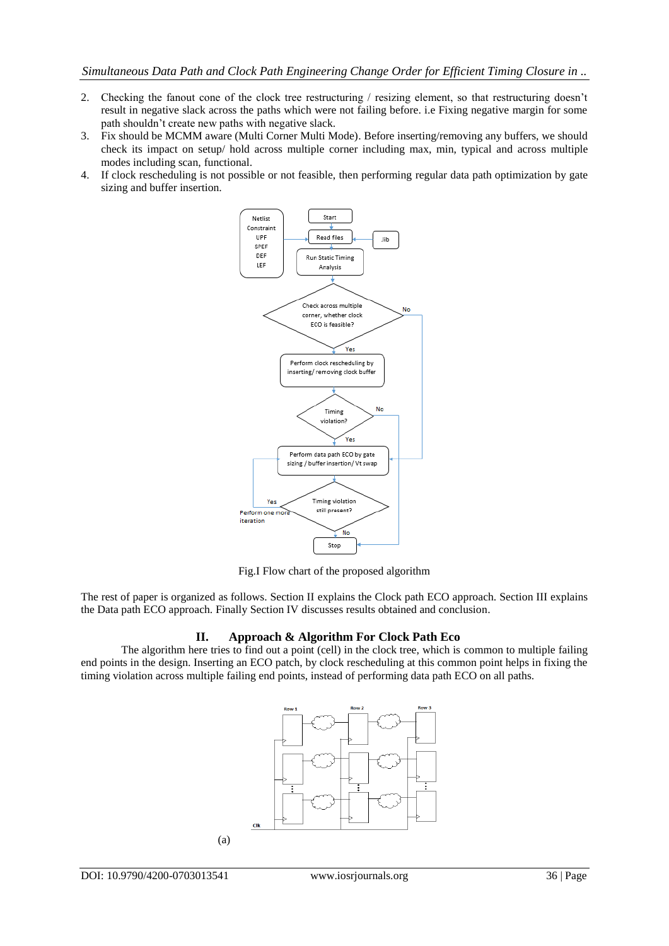- 2. Checking the fanout cone of the clock tree restructuring / resizing element, so that restructuring doesn't result in negative slack across the paths which were not failing before. i.e Fixing negative margin for some path shouldn't create new paths with negative slack.
- 3. Fix should be MCMM aware (Multi Corner Multi Mode). Before inserting/removing any buffers, we should check its impact on setup/ hold across multiple corner including max, min, typical and across multiple modes including scan, functional.
- 4. If clock rescheduling is not possible or not feasible, then performing regular data path optimization by gate sizing and buffer insertion.



Fig.I Flow chart of the proposed algorithm

The rest of paper is organized as follows. Section II explains the Clock path ECO approach. Section III explains the Data path ECO approach. Finally Section IV discusses results obtained and conclusion.

# **II. Approach & Algorithm For Clock Path Eco**

The algorithm here tries to find out a point (cell) in the clock tree, which is common to multiple failing end points in the design. Inserting an ECO patch, by clock rescheduling at this common point helps in fixing the timing violation across multiple failing end points, instead of performing data path ECO on all paths.

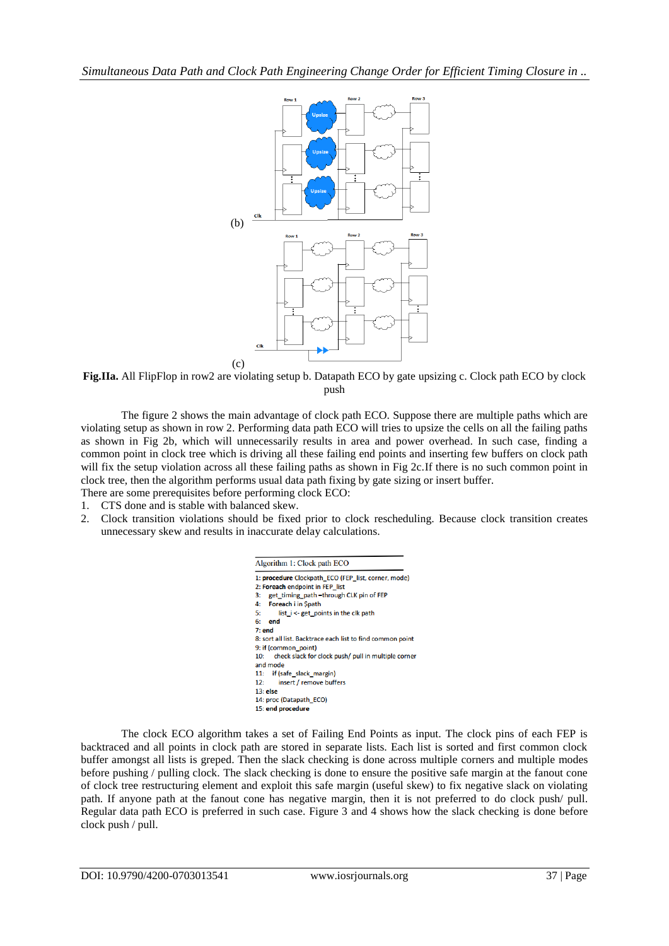

**Fig.IIa.** All FlipFlop in row2 are violating setup b. Datapath ECO by gate upsizing c. Clock path ECO by clock push

The figure 2 shows the main advantage of clock path ECO. Suppose there are multiple paths which are violating setup as shown in row 2. Performing data path ECO will tries to upsize the cells on all the failing paths as shown in Fig 2b, which will unnecessarily results in area and power overhead. In such case, finding a common point in clock tree which is driving all these failing end points and inserting few buffers on clock path will fix the setup violation across all these failing paths as shown in Fig 2c. If there is no such common point in clock tree, then the algorithm performs usual data path fixing by gate sizing or insert buffer. There are some prerequisites before performing clock ECO:

- 1. CTS done and is stable with balanced skew.
- 2. Clock transition violations should be fixed prior to clock rescheduling. Because clock transition creates unnecessary skew and results in inaccurate delay calculations.



The clock ECO algorithm takes a set of Failing End Points as input. The clock pins of each FEP is backtraced and all points in clock path are stored in separate lists. Each list is sorted and first common clock buffer amongst all lists is greped. Then the slack checking is done across multiple corners and multiple modes before pushing / pulling clock. The slack checking is done to ensure the positive safe margin at the fanout cone of clock tree restructuring element and exploit this safe margin (useful skew) to fix negative slack on violating path. If anyone path at the fanout cone has negative margin, then it is not preferred to do clock push/ pull. Regular data path ECO is preferred in such case. Figure 3 and 4 shows how the slack checking is done before clock push / pull.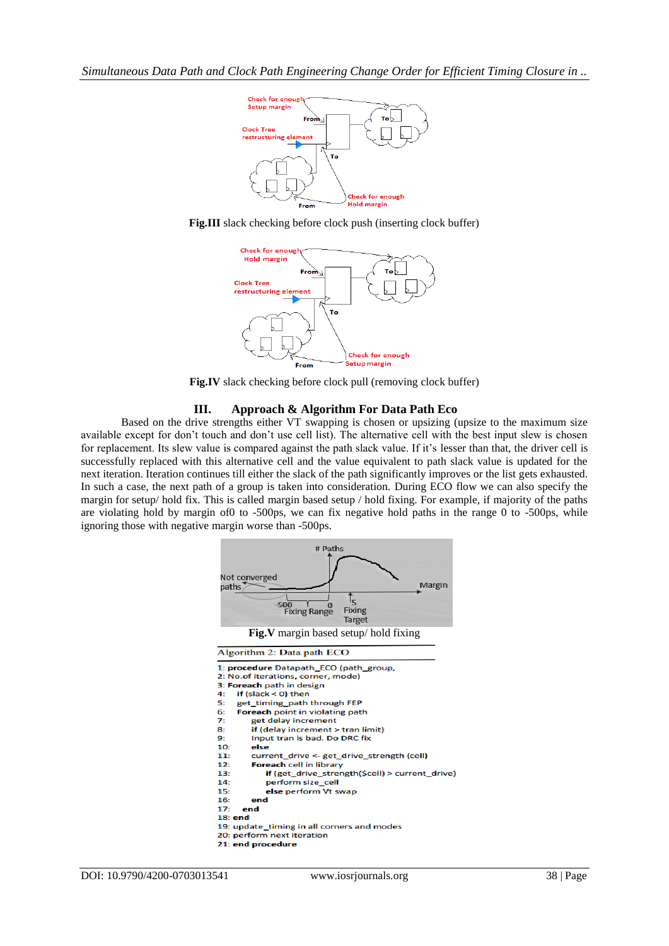

**Fig.III** slack checking before clock push (inserting clock buffer)



**Fig.IV** slack checking before clock pull (removing clock buffer)

## **III. Approach & Algorithm For Data Path Eco**

Based on the drive strengths either VT swapping is chosen or upsizing (upsize to the maximum size available except for don't touch and don't use cell list). The alternative cell with the best input slew is chosen for replacement. Its slew value is compared against the path slack value. If it's lesser than that, the driver cell is successfully replaced with this alternative cell and the value equivalent to path slack value is updated for the next iteration. Iteration continues till either the slack of the path significantly improves or the list gets exhausted. In such a case, the next path of a group is taken into consideration. During ECO flow we can also specify the margin for setup/ hold fix. This is called margin based setup / hold fixing. For example, if majority of the paths are violating hold by margin of0 to -500ps, we can fix negative hold paths in the range 0 to -500ps, while ignoring those with negative margin worse than -500ps.

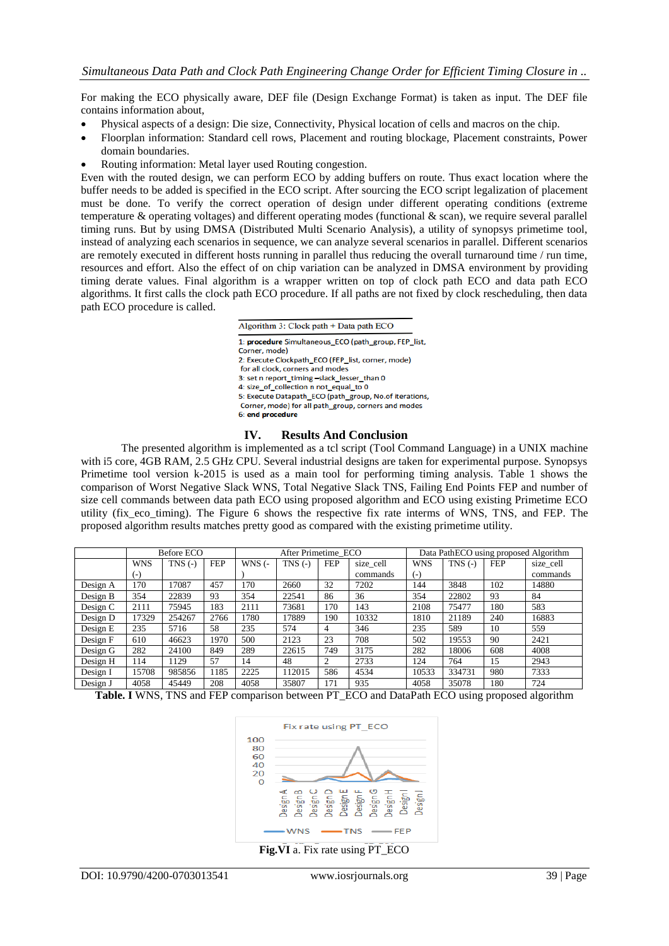For making the ECO physically aware, DEF file (Design Exchange Format) is taken as input. The DEF file contains information about,

- Physical aspects of a design: Die size, Connectivity, Physical location of cells and macros on the chip.
- Floorplan information: Standard cell rows, Placement and routing blockage, Placement constraints, Power domain boundaries.
- Routing information: Metal layer used Routing congestion.

Even with the routed design, we can perform ECO by adding buffers on route. Thus exact location where the buffer needs to be added is specified in the ECO script. After sourcing the ECO script legalization of placement must be done. To verify the correct operation of design under different operating conditions (extreme temperature  $\&$  operating voltages) and different operating modes (functional  $\&$  scan), we require several parallel timing runs. But by using DMSA (Distributed Multi Scenario Analysis), a utility of synopsys primetime tool, instead of analyzing each scenarios in sequence, we can analyze several scenarios in parallel. Different scenarios are remotely executed in different hosts running in parallel thus reducing the overall turnaround time / run time, resources and effort. Also the effect of on chip variation can be analyzed in DMSA environment by providing timing derate values. Final algorithm is a wrapper written on top of clock path ECO and data path ECO algorithms. It first calls the clock path ECO procedure. If all paths are not fixed by clock rescheduling, then data path ECO procedure is called.

> Algorithm 3: Clock path  $+$  Data path ECO 1: procedure Simultaneous ECO (path group, FEP list, Corner, mode) 2: Execute Clockpath\_ECO (FEP\_list, corner, mode) for all clock, corners and modes 3: set n report\_timing -slack\_lesser\_than 0 4: size\_of\_collection n not\_equal\_to 0 5: Execute Datapath\_ECO (path\_group, No.of iterations, Corner, mode) for all path\_group, corners and modes 6: end procedure

# **IV. Results And Conclusion**

The presented algorithm is implemented as a tcl script (Tool Command Language) in a UNIX machine with i5 core, 4GB RAM, 2.5 GHz CPU. Several industrial designs are taken for experimental purpose. Synopsys Primetime tool version k-2015 is used as a main tool for performing timing analysis. Table 1 shows the comparison of Worst Negative Slack WNS, Total Negative Slack TNS, Failing End Points FEP and number of size cell commands between data path ECO using proposed algorithm and ECO using existing Primetime ECO utility (fix\_eco\_timing). The Figure 6 shows the respective fix rate interms of WNS, TNS, and FEP. The proposed algorithm results matches pretty good as compared with the existing primetime utility.

|          | Before ECO |             |            | After Primetime ECO |           |            |           | Data PathECO using proposed Algorithm |           |            |           |
|----------|------------|-------------|------------|---------------------|-----------|------------|-----------|---------------------------------------|-----------|------------|-----------|
|          | <b>WNS</b> | $TNS$ $(-)$ | <b>FEP</b> | $WNS$ (-            | $TNS$ (-) | <b>FEP</b> | size_cell | <b>WNS</b>                            | $TNS$ (-) | <b>FEP</b> | size_cell |
|          | (-)        |             |            |                     |           |            | commands  | $(-)$                                 |           |            | commands  |
| Design A | 170        | 17087       | 457        | 170                 | 2660      | 32         | 7202      | 144                                   | 3848      | 102        | 14880     |
| Design B | 354        | 22839       | 93         | 354                 | 22541     | 86         | 36        | 354                                   | 22802     | 93         | 84        |
| Design C | 2111       | 75945       | 183        | 2111                | 73681     | 170        | 143       | 2108                                  | 75477     | 180        | 583       |
| Design D | 17329      | 254267      | 2766       | 1780                | 17889     | 190        | 10332     | 1810                                  | 21189     | 240        | 16883     |
| Design E | 235        | 5716        | 58         | 235                 | 574       | 4          | 346       | 235                                   | 589       | 10         | 559       |
| Design F | 610        | 46623       | 1970       | 500                 | 2123      | 23         | 708       | 502                                   | 19553     | 90         | 2421      |
| Design G | 282        | 24100       | 849        | 289                 | 22615     | 749        | 3175      | 282                                   | 18006     | 608        | 4008      |
| Design H | 114        | 1129        | 57         | 14                  | 48        | $\Omega$   | 2733      | 124                                   | 764       | 15         | 2943      |
| Design I | 15708      | 985856      | 1185       | 2225                | 112015    | 586        | 4534      | 10533                                 | 334731    | 980        | 7333      |
| Design J | 4058       | 45449       | 208        | 4058                | 35807     | 171        | 935       | 4058                                  | 35078     | 180        | 724       |

|  |  |  |  |  | Table. I WNS, TNS and FEP comparison between PT_ECO and DataPath ECO using proposed algorithm |
|--|--|--|--|--|-----------------------------------------------------------------------------------------------|
|  |  |  |  |  |                                                                                               |



**Fig.VI** a. Fix rate using PT\_ECO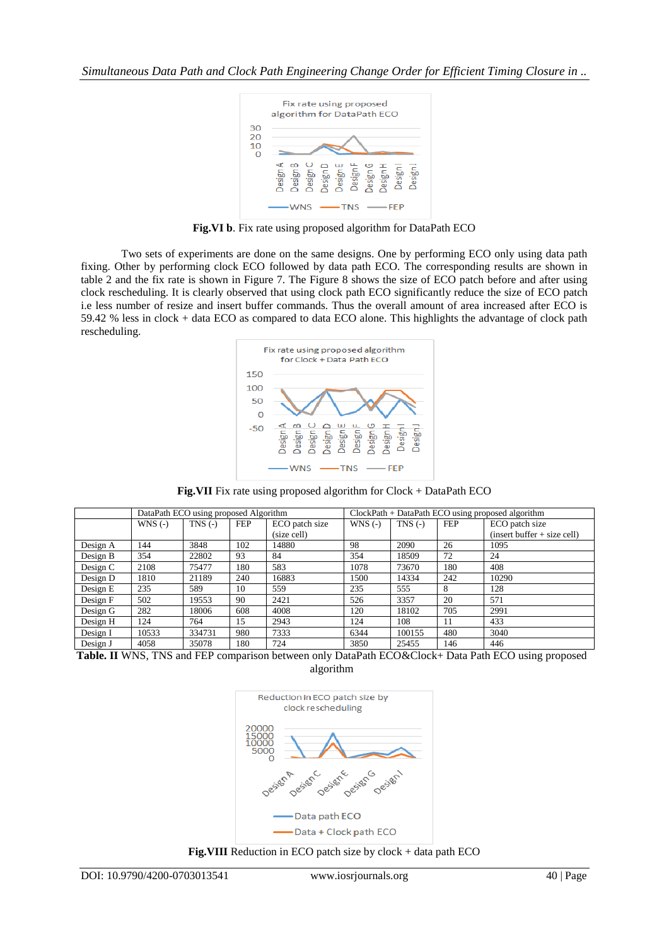

**Fig.VI b**. Fix rate using proposed algorithm for DataPath ECO

Two sets of experiments are done on the same designs. One by performing ECO only using data path fixing. Other by performing clock ECO followed by data path ECO. The corresponding results are shown in table 2 and the fix rate is shown in Figure 7. The Figure 8 shows the size of ECO patch before and after using clock rescheduling. It is clearly observed that using clock path ECO significantly reduce the size of ECO patch i.e less number of resize and insert buffer commands. Thus the overall amount of area increased after ECO is 59.42 % less in clock + data ECO as compared to data ECO alone. This highlights the advantage of clock path rescheduling.



**Fig.VII** Fix rate using proposed algorithm for Clock + DataPath ECO

|            |           | DataPath ECO using proposed Algorithm |            |                               | ClockPath + DataPath ECO using proposed algorithm |           |            |                                                 |  |
|------------|-----------|---------------------------------------|------------|-------------------------------|---------------------------------------------------|-----------|------------|-------------------------------------------------|--|
|            | $WNS$ (-) | $TNS$ (-)                             | <b>FEP</b> | ECO patch size<br>(size cell) | $WNS$ (-)                                         | $TNS$ (-) | <b>FEP</b> | ECO patch size<br>$(insert buffer + size cell)$ |  |
| Design A   | 144       | 3848                                  | 102        | 14880                         | 98                                                | 2090      | 26         | 1095                                            |  |
| Design B   | 354       | 22802                                 | 93         | 84                            | 354                                               | 18509     | 72         | 24                                              |  |
| Design $C$ | 2108      | 75477                                 | 180        | 583                           | 1078                                              | 73670     | 180        | 408                                             |  |
| Design D   | 1810      | 21189                                 | 240        | 16883                         | 1500                                              | 14334     | 242        | 10290                                           |  |
| Design E   | 235       | 589                                   | 10         | 559                           | 235                                               | 555       | 8          | 128                                             |  |
| Design F   | 502       | 19553                                 | 90         | 2421                          | 526                                               | 3357      | 20         | 571                                             |  |
| Design G   | 282       | 18006                                 | 608        | 4008                          | 120                                               | 18102     | 705        | 2991                                            |  |
| Design H   | 124       | 764                                   | 15         | 2943                          | 124                                               | 108       | 11         | 433                                             |  |
| Design I   | 10533     | 334731                                | 980        | 7333                          | 6344                                              | 100155    | 480        | 3040                                            |  |
| Design J   | 4058      | 35078                                 | 180        | 724                           | 3850                                              | 25455     | 146        | 446                                             |  |

**Table. II** WNS, TNS and FEP comparison between only DataPath ECO&Clock+ Data Path ECO using proposed algorithm



**Fig.VIII** Reduction in ECO patch size by clock + data path ECO